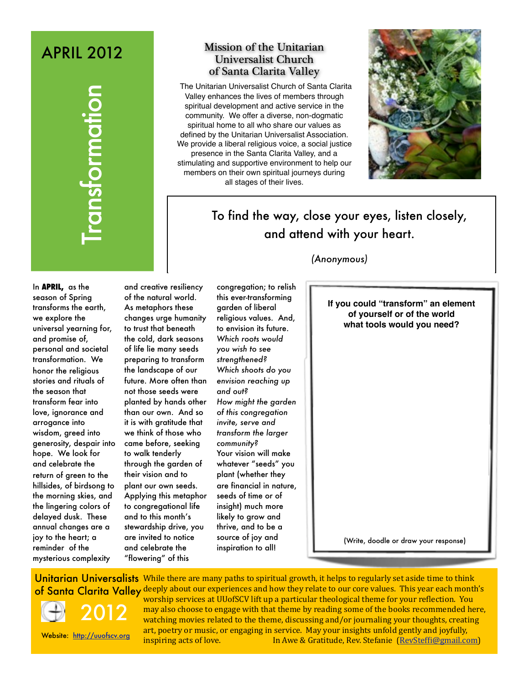# APRIL 2012

## Mission of the Unitarian Universalist Church of Santa Clarita Valley

The Unitarian Universalist Church of Santa Clarita Valley enhances the lives of members through spiritual development and active service in the community. We offer a diverse, non-dogmatic spiritual home to all who share our values as defined by the Unitarian Universalist Association. We provide a liberal religious voice, a social justice presence in the Santa Clarita Valley, and a stimulating and supportive environment to help our members on their own spiritual journeys during all stages of their lives.



# To find the way, close your eyes, listen closely, and attend with your heart.

### *(Anonymous)*

**CONTROLLATE SANTAGE AND ANNUM CONTROLLATE SANTAGE AND ANNOUNT AND ANNOUNT AND ANNOUNT AND ANNOUNT AND ANNOUNT AND ANNOUNT AND ANNOUNT AND SANTAGE AND SANTAGE AND SANTAGE AND SANTAGE AND SANTAGE AND SANTAGE AND SANTAGE AND** In **APRIL,** as the season of Spring transforms the earth, we explore the universal yearning for, and promise of, personal and societal transformation. We honor the religious stories and rituals of the season that transform fear into love, ignorance and arrogance into wisdom, greed into generosity, despair into hope. We look for and celebrate the return of green to the hillsides, of birdsong to the morning skies, and the lingering colors of delayed dusk. These annual changes are a joy to the heart; a reminder of the mysterious complexity

and creative resiliency of the natural world. As metaphors these changes urge humanity to trust that beneath the cold, dark seasons of life lie many seeds preparing to transform the landscape of our future. More often than not those seeds were planted by hands other than our own. And so it is with gratitude that we think of those who came before, seeking to walk tenderly through the garden of their vision and to plant our own seeds. Applying this metaphor to congregational life and to this month's stewardship drive, you are invited to notice and celebrate the "flowering" of this

congregation; to relish this ever-transforming garden of liberal religious values. And, to envision its future. *Which roots would you wish to see strengthened? Which shoots do you envision reaching up and out? How might the garden of this congregation invite, serve and transform the larger community?*  Your vision will make whatever "seeds" you plant (whether they are financial in nature, seeds of time or of insight) much more likely to grow and thrive, and to be a source of joy and inspiration to all!

**If you could "transform" an element of yourself or of the world what tools would you need?**

(Write, doodle or draw your response)

Unitarian Universalists While there are many paths to spiritual growth, it helps to regularly set aside time to think of Santa Clarita Valley deeply about our experiences and how they relate to our core values. This year each month's



Website: <http://uuofscv.org>

2012

worship services at UUofSCV lift up a particular theological theme for your reflection. You may also choose to engage with that theme by reading some of the books recommended here, watching movies related to the theme, discussing and/or journaling your thoughts, creating art, poetry or music, or engaging in service. May your insights unfold gently and joyfully, inspiring acts of love. In Awe & Gratitude, Rev. Stefanie [\(RevStefBi@gmail.com\)](mailto:RevSteffi@gmail.com)